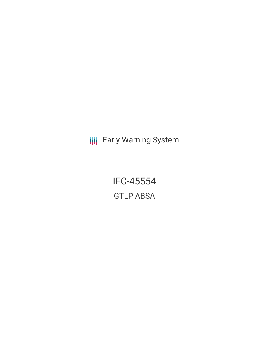**III** Early Warning System

IFC-45554 GTLP ABSA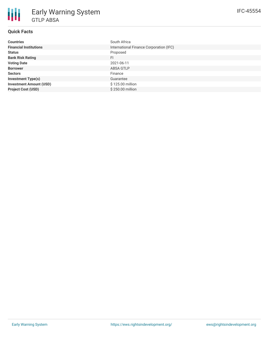# **Quick Facts**

| <b>Countries</b>               | South Africa                            |
|--------------------------------|-----------------------------------------|
| <b>Financial Institutions</b>  | International Finance Corporation (IFC) |
| <b>Status</b>                  | Proposed                                |
| <b>Bank Risk Rating</b>        | FI.                                     |
| <b>Voting Date</b>             | 2021-06-11                              |
| <b>Borrower</b>                | ABSA GTLP                               |
| <b>Sectors</b>                 | Finance                                 |
| <b>Investment Type(s)</b>      | Guarantee                               |
| <b>Investment Amount (USD)</b> | \$125.00 million                        |
| <b>Project Cost (USD)</b>      | \$250.00 million                        |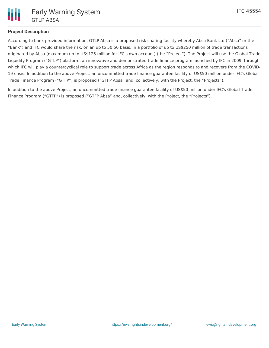## **Project Description**

According to bank provided information, GTLP Absa is a proposed risk sharing facility whereby Absa Bank Ltd ("Absa" or the "Bank") and IFC would share the risk, on an up to 50:50 basis, in a portfolio of up to US\$250 million of trade transactions originated by Absa (maximum up to US\$125 million for IFC's own account) (the "Project"). The Project will use the Global Trade Liquidity Program ("GTLP") platform, an innovative and demonstrated trade finance program launched by IFC in 2009, through which IFC will play a countercyclical role to support trade across Africa as the region responds to and recovers from the COVID-19 crisis. In addition to the above Project, an uncommitted trade finance guarantee facility of US\$50 million under IFC's Global Trade Finance Program ("GTFP") is proposed ("GTFP Absa" and, collectively, with the Project, the "Projects").

In addition to the above Project, an uncommitted trade finance guarantee facility of US\$50 million under IFC's Global Trade Finance Program ("GTFP") is proposed ("GTFP Absa" and, collectively, with the Project, the "Projects").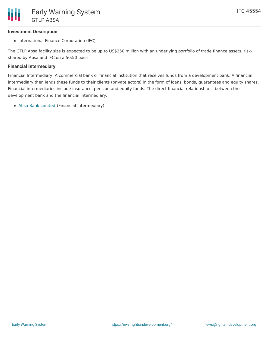### **Investment Description**

• International Finance Corporation (IFC)

The GTLP Absa facility size is expected to be up to US\$250 million with an underlying portfolio of trade finance assets, riskshared by Absa and IFC on a 50:50 basis.

#### **Financial Intermediary**

Financial Intermediary: A commercial bank or financial institution that receives funds from a development bank. A financial intermediary then lends these funds to their clients (private actors) in the form of loans, bonds, guarantees and equity shares. Financial intermediaries include insurance, pension and equity funds. The direct financial relationship is between the development bank and the financial intermediary.

Absa Bank [Limited](file:///actor/748/) (Financial Intermediary)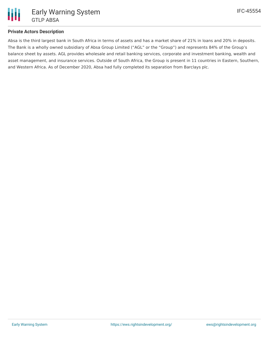

#### **Private Actors Description**

Absa is the third largest bank in South Africa in terms of assets and has a market share of 21% in loans and 20% in deposits. The Bank is a wholly owned subsidiary of Absa Group Limited ("AGL" or the "Group") and represents 84% of the Group's balance sheet by assets. AGL provides wholesale and retail banking services, corporate and investment banking, wealth and asset management, and insurance services. Outside of South Africa, the Group is present in 11 countries in Eastern, Southern, and Western Africa. As of December 2020, Absa had fully completed its separation from Barclays plc.